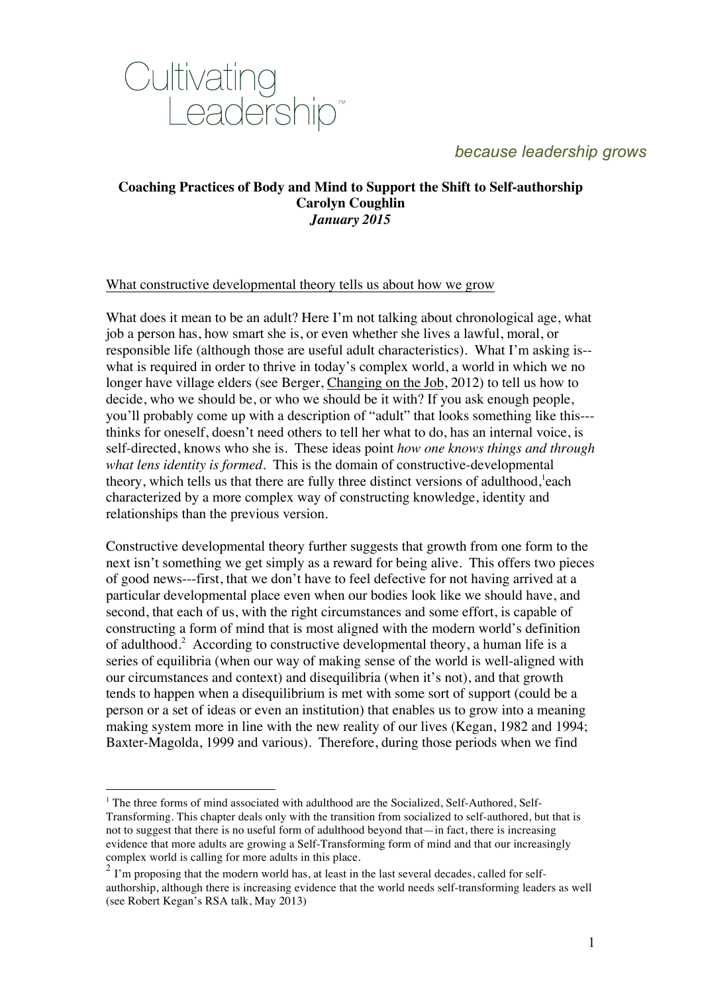

### **Coaching Practices of Body and Mind to Support the Shift to Self-authorship Carolyn Coughlin** *January 2015*

#### What constructive developmental theory tells us about how we grow

What does it mean to be an adult? Here I'm not talking about chronological age, what job a person has, how smart she is, or even whether she lives a lawful, moral, or responsible life (although those are useful adult characteristics). What I'm asking is- what is required in order to thrive in today's complex world, a world in which we no longer have village elders (see Berger, Changing on the Job, 2012) to tell us how to decide, who we should be, or who we should be it with? If you ask enough people, you'll probably come up with a description of "adult" that looks something like this-- thinks for oneself, doesn't need others to tell her what to do, has an internal voice, is self-directed, knows who she is. These ideas point *how one knows things and through what lens identity is formed.* This is the domain of constructive-developmental theory, which tells us that there are fully three distinct versions of adulthood, each characterized by a more complex way of constructing knowledge, identity and relationships than the previous version.

Constructive developmental theory further suggests that growth from one form to the next isn't something we get simply as a reward for being alive. This offers two pieces of good news---first, that we don't have to feel defective for not having arrived at a particular developmental place even when our bodies look like we should have, and second, that each of us, with the right circumstances and some effort, is capable of constructing a form of mind that is most aligned with the modern world's definition of adulthood.<sup>2</sup> According to constructive developmental theory, a human life is a series of equilibria (when our way of making sense of the world is well-aligned with our circumstances and context) and disequilibria (when it's not), and that growth tends to happen when a disequilibrium is met with some sort of support (could be a person or a set of ideas or even an institution) that enables us to grow into a meaning making system more in line with the new reality of our lives (Kegan, 1982 and 1994; Baxter-Magolda, 1999 and various). Therefore, during those periods when we find

<u>.</u>

<sup>&</sup>lt;sup>1</sup> The three forms of mind associated with adulthood are the Socialized, Self-Authored, Self-Transforming. This chapter deals only with the transition from socialized to self-authored, but that is not to suggest that there is no useful form of adulthood beyond that—in fact, there is increasing evidence that more adults are growing a Self-Transforming form of mind and that our increasingly complex world is calling for more adults in this place.

 $2\degree$  I'm proposing that the modern world has, at least in the last several decades, called for selfauthorship, although there is increasing evidence that the world needs self-transforming leaders as well (see Robert Kegan's RSA talk, May 2013)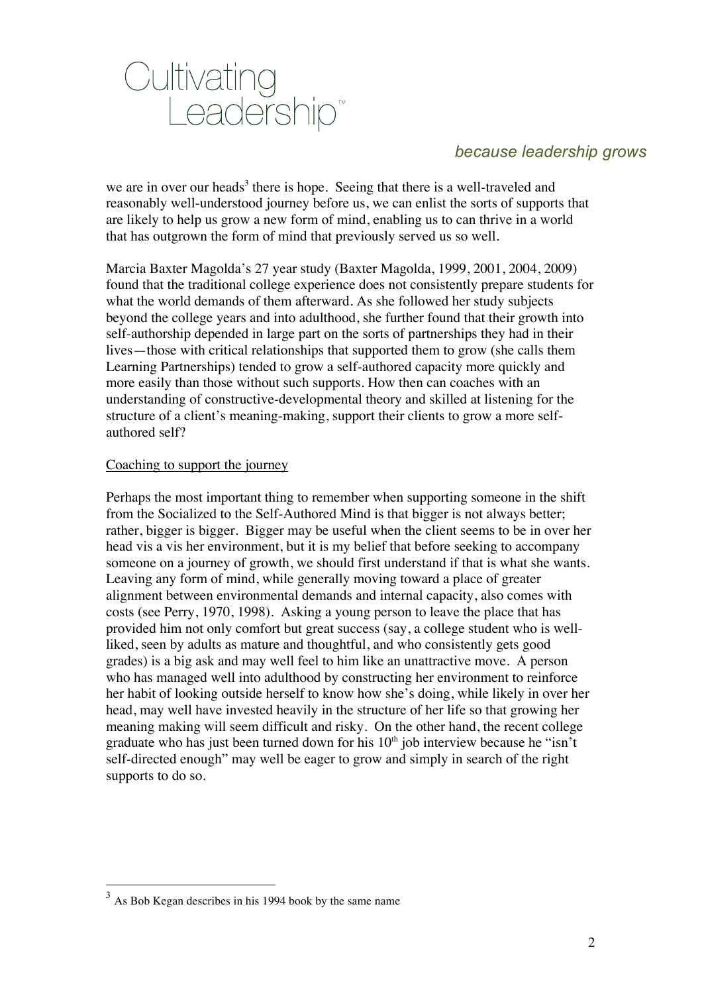

we are in over our heads<sup>3</sup> there is hope. Seeing that there is a well-traveled and reasonably well-understood journey before us, we can enlist the sorts of supports that are likely to help us grow a new form of mind, enabling us to can thrive in a world that has outgrown the form of mind that previously served us so well.

Marcia Baxter Magolda's 27 year study (Baxter Magolda, 1999, 2001, 2004, 2009) found that the traditional college experience does not consistently prepare students for what the world demands of them afterward. As she followed her study subjects beyond the college years and into adulthood, she further found that their growth into self-authorship depended in large part on the sorts of partnerships they had in their lives—those with critical relationships that supported them to grow (she calls them Learning Partnerships) tended to grow a self-authored capacity more quickly and more easily than those without such supports. How then can coaches with an understanding of constructive-developmental theory and skilled at listening for the structure of a client's meaning-making, support their clients to grow a more selfauthored self?

#### Coaching to support the journey

Perhaps the most important thing to remember when supporting someone in the shift from the Socialized to the Self-Authored Mind is that bigger is not always better; rather, bigger is bigger. Bigger may be useful when the client seems to be in over her head vis a vis her environment, but it is my belief that before seeking to accompany someone on a journey of growth, we should first understand if that is what she wants. Leaving any form of mind, while generally moving toward a place of greater alignment between environmental demands and internal capacity, also comes with costs (see Perry, 1970, 1998). Asking a young person to leave the place that has provided him not only comfort but great success (say, a college student who is wellliked, seen by adults as mature and thoughtful, and who consistently gets good grades) is a big ask and may well feel to him like an unattractive move. A person who has managed well into adulthood by constructing her environment to reinforce her habit of looking outside herself to know how she's doing, while likely in over her head, may well have invested heavily in the structure of her life so that growing her meaning making will seem difficult and risky. On the other hand, the recent college graduate who has just been turned down for his  $10<sup>th</sup>$  job interview because he "isn't self-directed enough" may well be eager to grow and simply in search of the right supports to do so.

 $3 \text{ As}$  Bob Kegan describes in his 1994 book by the same name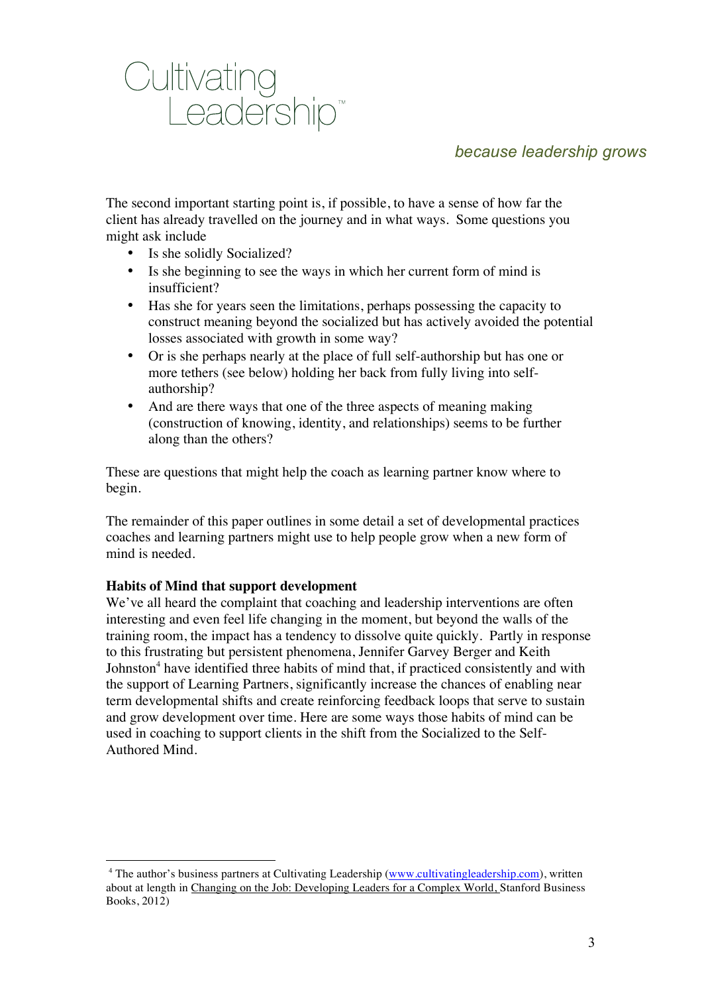

The second important starting point is, if possible, to have a sense of how far the client has already travelled on the journey and in what ways. Some questions you might ask include

- Is she solidly Socialized?
- Is she beginning to see the ways in which her current form of mind is insufficient?
- Has she for years seen the limitations, perhaps possessing the capacity to construct meaning beyond the socialized but has actively avoided the potential losses associated with growth in some way?
- Or is she perhaps nearly at the place of full self-authorship but has one or more tethers (see below) holding her back from fully living into selfauthorship?
- And are there ways that one of the three aspects of meaning making (construction of knowing, identity, and relationships) seems to be further along than the others?

These are questions that might help the coach as learning partner know where to begin.

The remainder of this paper outlines in some detail a set of developmental practices coaches and learning partners might use to help people grow when a new form of mind is needed.

## **Habits of Mind that support development**

1

We've all heard the complaint that coaching and leadership interventions are often interesting and even feel life changing in the moment, but beyond the walls of the training room, the impact has a tendency to dissolve quite quickly. Partly in response to this frustrating but persistent phenomena, Jennifer Garvey Berger and Keith Johnston<sup>4</sup> have identified three habits of mind that, if practiced consistently and with the support of Learning Partners, significantly increase the chances of enabling near term developmental shifts and create reinforcing feedback loops that serve to sustain and grow development over time. Here are some ways those habits of mind can be used in coaching to support clients in the shift from the Socialized to the Self-Authored Mind.

<sup>&</sup>lt;sup>4</sup> The author's business partners at Cultivating Leadership (www.cultivatingleadership.com), written about at length in Changing on the Job: Developing Leaders for a Complex World, Stanford Business Books, 2012)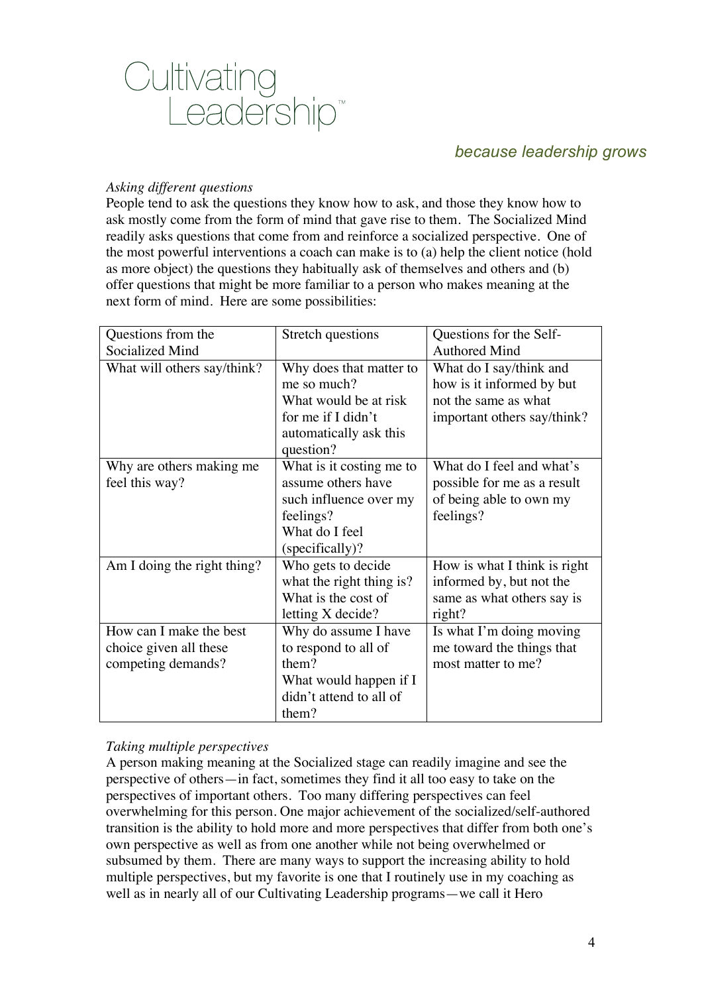

#### *Asking different questions*

People tend to ask the questions they know how to ask, and those they know how to ask mostly come from the form of mind that gave rise to them. The Socialized Mind readily asks questions that come from and reinforce a socialized perspective. One of the most powerful interventions a coach can make is to (a) help the client notice (hold as more object) the questions they habitually ask of themselves and others and (b) offer questions that might be more familiar to a person who makes meaning at the next form of mind. Here are some possibilities:

| Questions from the          | Stretch questions        | Questions for the Self-      |
|-----------------------------|--------------------------|------------------------------|
| Socialized Mind             |                          | <b>Authored Mind</b>         |
| What will others say/think? | Why does that matter to  | What do I say/think and      |
|                             | me so much?              | how is it informed by but    |
|                             | What would be at risk    | not the same as what         |
|                             | for me if I didn't       | important others say/think?  |
|                             | automatically ask this   |                              |
|                             | question?                |                              |
| Why are others making me    | What is it costing me to | What do I feel and what's    |
| feel this way?              | assume others have       | possible for me as a result  |
|                             | such influence over my   | of being able to own my      |
|                             | feelings?                | feelings?                    |
|                             | What do I feel           |                              |
|                             | (specifically)?          |                              |
| Am I doing the right thing? | Who gets to decide       | How is what I think is right |
|                             | what the right thing is? | informed by, but not the     |
|                             | What is the cost of      | same as what others say is   |
|                             | letting X decide?        | right?                       |
| How can I make the best     | Why do assume I have     | Is what I'm doing moving     |
| choice given all these      | to respond to all of     | me toward the things that    |
| competing demands?          | them?                    | most matter to me?           |
|                             | What would happen if I   |                              |
|                             | didn't attend to all of  |                              |
|                             | them?                    |                              |

## *Taking multiple perspectives*

A person making meaning at the Socialized stage can readily imagine and see the perspective of others—in fact, sometimes they find it all too easy to take on the perspectives of important others. Too many differing perspectives can feel overwhelming for this person. One major achievement of the socialized/self-authored transition is the ability to hold more and more perspectives that differ from both one's own perspective as well as from one another while not being overwhelmed or subsumed by them. There are many ways to support the increasing ability to hold multiple perspectives, but my favorite is one that I routinely use in my coaching as well as in nearly all of our Cultivating Leadership programs—we call it Hero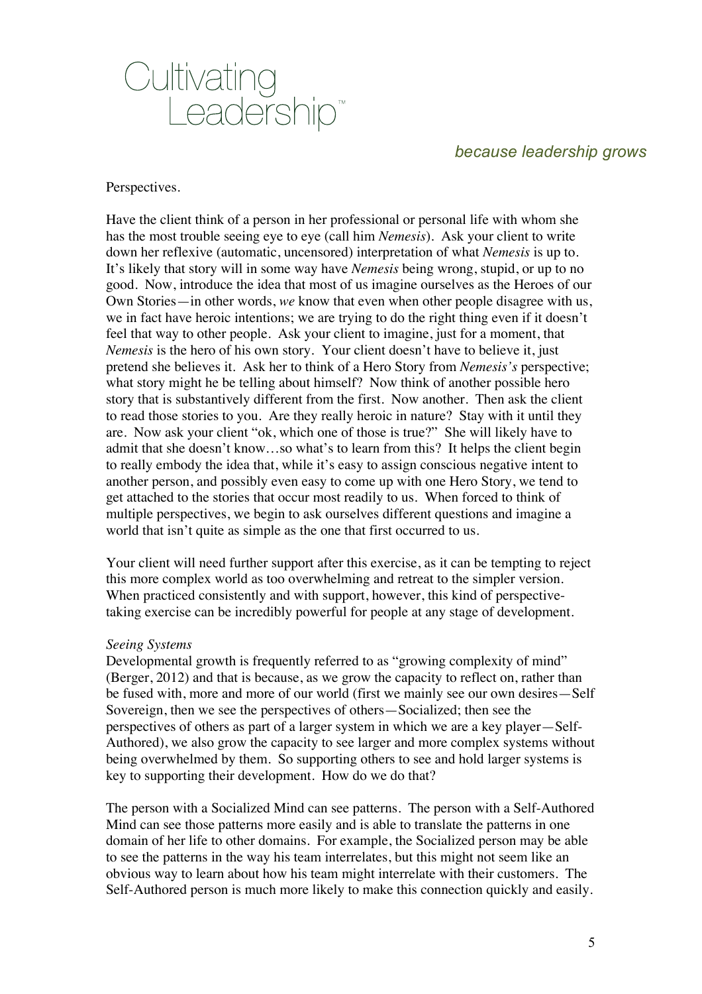

#### Perspectives.

Have the client think of a person in her professional or personal life with whom she has the most trouble seeing eye to eye (call him *Nemesis*). Ask your client to write down her reflexive (automatic, uncensored) interpretation of what *Nemesis* is up to. It's likely that story will in some way have *Nemesis* being wrong, stupid, or up to no good. Now, introduce the idea that most of us imagine ourselves as the Heroes of our Own Stories—in other words, *we* know that even when other people disagree with us, we in fact have heroic intentions; we are trying to do the right thing even if it doesn't feel that way to other people. Ask your client to imagine, just for a moment, that *Nemesis* is the hero of his own story. Your client doesn't have to believe it, just pretend she believes it. Ask her to think of a Hero Story from *Nemesis's* perspective; what story might he be telling about himself? Now think of another possible hero story that is substantively different from the first. Now another. Then ask the client to read those stories to you. Are they really heroic in nature? Stay with it until they are. Now ask your client "ok, which one of those is true?" She will likely have to admit that she doesn't know…so what's to learn from this? It helps the client begin to really embody the idea that, while it's easy to assign conscious negative intent to another person, and possibly even easy to come up with one Hero Story, we tend to get attached to the stories that occur most readily to us. When forced to think of multiple perspectives, we begin to ask ourselves different questions and imagine a world that isn't quite as simple as the one that first occurred to us.

Your client will need further support after this exercise, as it can be tempting to reject this more complex world as too overwhelming and retreat to the simpler version. When practiced consistently and with support, however, this kind of perspectivetaking exercise can be incredibly powerful for people at any stage of development.

#### *Seeing Systems*

Developmental growth is frequently referred to as "growing complexity of mind" (Berger, 2012) and that is because, as we grow the capacity to reflect on, rather than be fused with, more and more of our world (first we mainly see our own desires—Self Sovereign, then we see the perspectives of others—Socialized; then see the perspectives of others as part of a larger system in which we are a key player—Self-Authored), we also grow the capacity to see larger and more complex systems without being overwhelmed by them. So supporting others to see and hold larger systems is key to supporting their development. How do we do that?

The person with a Socialized Mind can see patterns. The person with a Self-Authored Mind can see those patterns more easily and is able to translate the patterns in one domain of her life to other domains. For example, the Socialized person may be able to see the patterns in the way his team interrelates, but this might not seem like an obvious way to learn about how his team might interrelate with their customers. The Self-Authored person is much more likely to make this connection quickly and easily.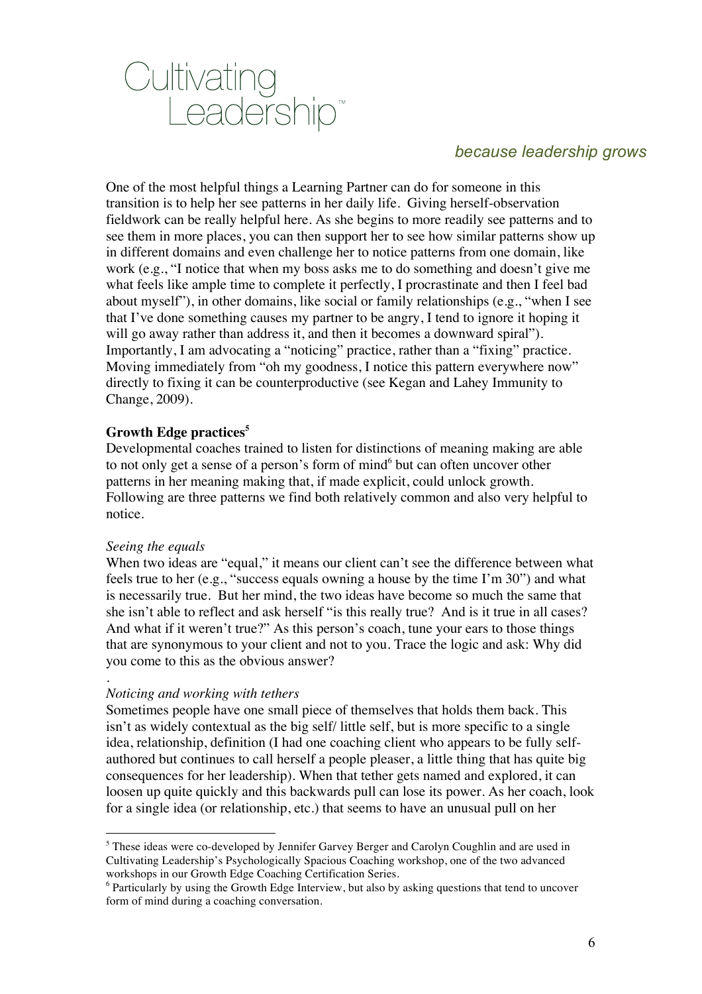

One of the most helpful things a Learning Partner can do for someone in this transition is to help her see patterns in her daily life. Giving herself-observation fieldwork can be really helpful here. As she begins to more readily see patterns and to see them in more places, you can then support her to see how similar patterns show up in different domains and even challenge her to notice patterns from one domain, like work (e.g., "I notice that when my boss asks me to do something and doesn't give me what feels like ample time to complete it perfectly, I procrastinate and then I feel bad about myself"), in other domains, like social or family relationships (e.g., "when I see that I've done something causes my partner to be angry, I tend to ignore it hoping it will go away rather than address it, and then it becomes a downward spiral"). Importantly, I am advocating a "noticing" practice, rather than a "fixing" practice. Moving immediately from "oh my goodness, I notice this pattern everywhere now" directly to fixing it can be counterproductive (see Kegan and Lahey Immunity to Change, 2009).

### **Growth Edge practices<sup>5</sup>**

Developmental coaches trained to listen for distinctions of meaning making are able to not only get a sense of a person's form of mind<sup>6</sup> but can often uncover other patterns in her meaning making that, if made explicit, could unlock growth. Following are three patterns we find both relatively common and also very helpful to notice.

#### *Seeing the equals*

<u>.</u>

When two ideas are "equal," it means our client can't see the difference between what feels true to her (e.g., "success equals owning a house by the time I'm 30") and what is necessarily true. But her mind, the two ideas have become so much the same that she isn't able to reflect and ask herself "is this really true? And is it true in all cases? And what if it weren't true?" As this person's coach, tune your ears to those things that are synonymous to your client and not to you. Trace the logic and ask: Why did you come to this as the obvious answer?

#### . *Noticing and working with tethers*

Sometimes people have one small piece of themselves that holds them back. This isn't as widely contextual as the big self/ little self, but is more specific to a single idea, relationship, definition (I had one coaching client who appears to be fully selfauthored but continues to call herself a people pleaser, a little thing that has quite big consequences for her leadership). When that tether gets named and explored, it can loosen up quite quickly and this backwards pull can lose its power. As her coach, look for a single idea (or relationship, etc.) that seems to have an unusual pull on her

 $<sup>5</sup>$  These ideas were co-developed by Jennifer Garvey Berger and Carolyn Coughlin and are used in</sup> Cultivating Leadership's Psychologically Spacious Coaching workshop, one of the two advanced workshops in our Growth Edge Coaching Certification Series.

<sup>6</sup> Particularly by using the Growth Edge Interview, but also by asking questions that tend to uncover form of mind during a coaching conversation.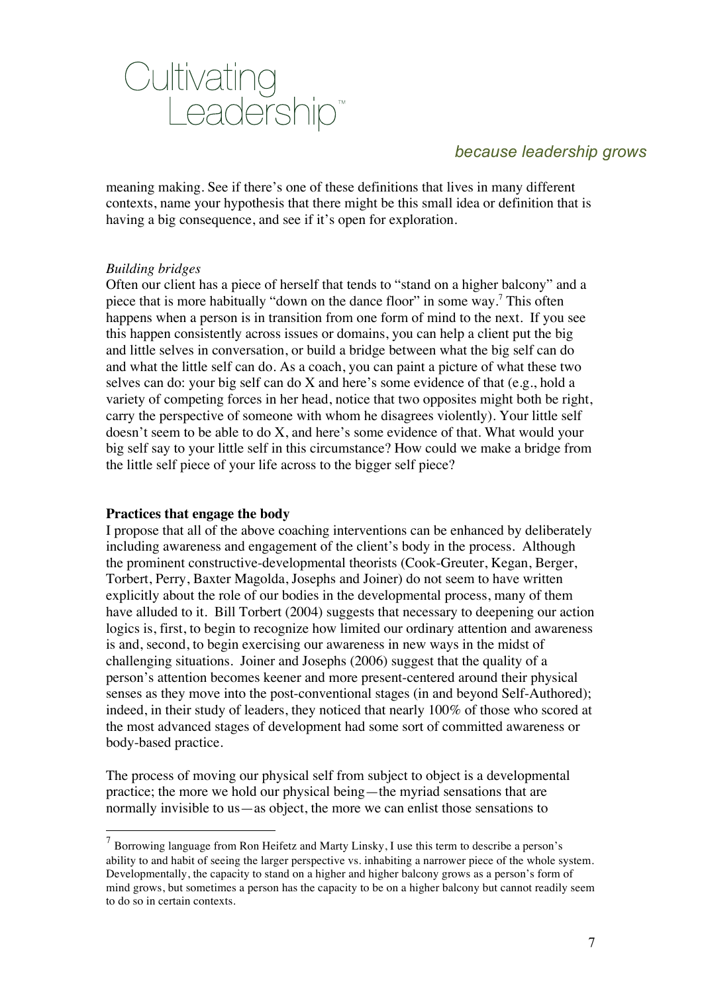

meaning making. See if there's one of these definitions that lives in many different contexts, name your hypothesis that there might be this small idea or definition that is having a big consequence, and see if it's open for exploration.

### *Building bridges*

Often our client has a piece of herself that tends to "stand on a higher balcony" and a piece that is more habitually "down on the dance floor" in some way.7 This often happens when a person is in transition from one form of mind to the next. If you see this happen consistently across issues or domains, you can help a client put the big and little selves in conversation, or build a bridge between what the big self can do and what the little self can do. As a coach, you can paint a picture of what these two selves can do: your big self can do X and here's some evidence of that (e.g., hold a variety of competing forces in her head, notice that two opposites might both be right, carry the perspective of someone with whom he disagrees violently). Your little self doesn't seem to be able to do X, and here's some evidence of that. What would your big self say to your little self in this circumstance? How could we make a bridge from the little self piece of your life across to the bigger self piece?

#### **Practices that engage the body**

I propose that all of the above coaching interventions can be enhanced by deliberately including awareness and engagement of the client's body in the process. Although the prominent constructive-developmental theorists (Cook-Greuter, Kegan, Berger, Torbert, Perry, Baxter Magolda, Josephs and Joiner) do not seem to have written explicitly about the role of our bodies in the developmental process, many of them have alluded to it. Bill Torbert (2004) suggests that necessary to deepening our action logics is, first, to begin to recognize how limited our ordinary attention and awareness is and, second, to begin exercising our awareness in new ways in the midst of challenging situations. Joiner and Josephs (2006) suggest that the quality of a person's attention becomes keener and more present-centered around their physical senses as they move into the post-conventional stages (in and beyond Self-Authored); indeed, in their study of leaders, they noticed that nearly 100% of those who scored at the most advanced stages of development had some sort of committed awareness or body-based practice.

The process of moving our physical self from subject to object is a developmental practice; the more we hold our physical being—the myriad sensations that are normally invisible to us—as object, the more we can enlist those sensations to

 $<sup>7</sup>$  Borrowing language from Ron Heifetz and Marty Linsky, I use this term to describe a person's</sup> ability to and habit of seeing the larger perspective vs. inhabiting a narrower piece of the whole system. Developmentally, the capacity to stand on a higher and higher balcony grows as a person's form of mind grows, but sometimes a person has the capacity to be on a higher balcony but cannot readily seem to do so in certain contexts.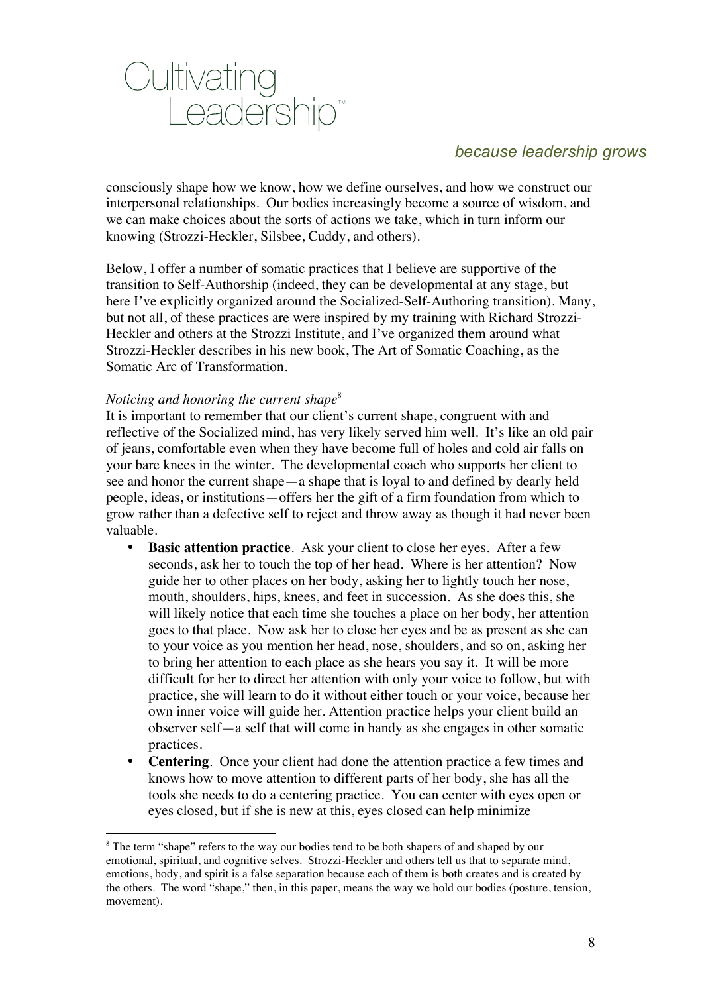

consciously shape how we know, how we define ourselves, and how we construct our interpersonal relationships. Our bodies increasingly become a source of wisdom, and we can make choices about the sorts of actions we take, which in turn inform our knowing (Strozzi-Heckler, Silsbee, Cuddy, and others).

Below, I offer a number of somatic practices that I believe are supportive of the transition to Self-Authorship (indeed, they can be developmental at any stage, but here I've explicitly organized around the Socialized-Self-Authoring transition). Many, but not all, of these practices are were inspired by my training with Richard Strozzi-Heckler and others at the Strozzi Institute, and I've organized them around what Strozzi-Heckler describes in his new book, The Art of Somatic Coaching, as the Somatic Arc of Transformation.

#### *Noticing and honoring the current shape*<sup>8</sup>

<u>.</u>

It is important to remember that our client's current shape, congruent with and reflective of the Socialized mind, has very likely served him well. It's like an old pair of jeans, comfortable even when they have become full of holes and cold air falls on your bare knees in the winter. The developmental coach who supports her client to see and honor the current shape—a shape that is loyal to and defined by dearly held people, ideas, or institutions—offers her the gift of a firm foundation from which to grow rather than a defective self to reject and throw away as though it had never been valuable.

- **Basic attention practice**. Ask your client to close her eyes. After a few seconds, ask her to touch the top of her head. Where is her attention? Now guide her to other places on her body, asking her to lightly touch her nose, mouth, shoulders, hips, knees, and feet in succession. As she does this, she will likely notice that each time she touches a place on her body, her attention goes to that place. Now ask her to close her eyes and be as present as she can to your voice as you mention her head, nose, shoulders, and so on, asking her to bring her attention to each place as she hears you say it. It will be more difficult for her to direct her attention with only your voice to follow, but with practice, she will learn to do it without either touch or your voice, because her own inner voice will guide her. Attention practice helps your client build an observer self—a self that will come in handy as she engages in other somatic practices.
- **Centering**. Once your client had done the attention practice a few times and knows how to move attention to different parts of her body, she has all the tools she needs to do a centering practice. You can center with eyes open or eyes closed, but if she is new at this, eyes closed can help minimize

<sup>&</sup>lt;sup>8</sup> The term "shape" refers to the way our bodies tend to be both shapers of and shaped by our emotional, spiritual, and cognitive selves. Strozzi-Heckler and others tell us that to separate mind, emotions, body, and spirit is a false separation because each of them is both creates and is created by the others. The word "shape," then, in this paper, means the way we hold our bodies (posture, tension, movement).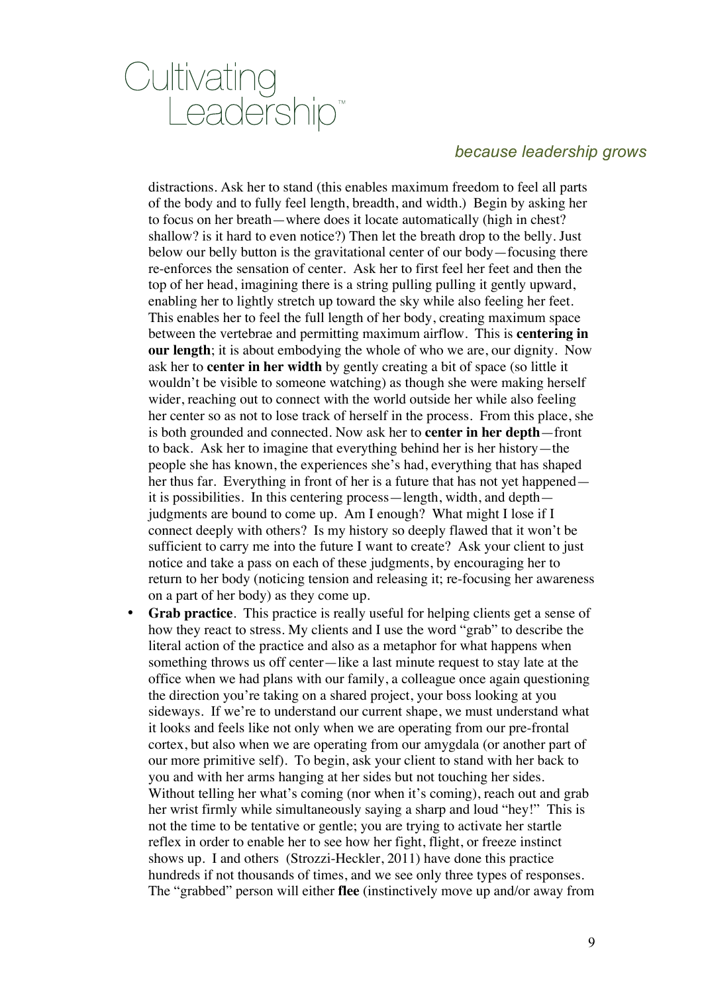# Cultivating<br>Leadership<sup>®</sup>

# *because leadership grows*

distractions. Ask her to stand (this enables maximum freedom to feel all parts of the body and to fully feel length, breadth, and width.) Begin by asking her to focus on her breath—where does it locate automatically (high in chest? shallow? is it hard to even notice?) Then let the breath drop to the belly. Just below our belly button is the gravitational center of our body—focusing there re-enforces the sensation of center. Ask her to first feel her feet and then the top of her head, imagining there is a string pulling pulling it gently upward, enabling her to lightly stretch up toward the sky while also feeling her feet. This enables her to feel the full length of her body, creating maximum space between the vertebrae and permitting maximum airflow. This is **centering in our length**; it is about embodying the whole of who we are, our dignity. Now ask her to **center in her width** by gently creating a bit of space (so little it wouldn't be visible to someone watching) as though she were making herself wider, reaching out to connect with the world outside her while also feeling her center so as not to lose track of herself in the process. From this place, she is both grounded and connected. Now ask her to **center in her depth**—front to back. Ask her to imagine that everything behind her is her history—the people she has known, the experiences she's had, everything that has shaped her thus far. Everything in front of her is a future that has not yet happened it is possibilities. In this centering process—length, width, and depth judgments are bound to come up. Am I enough? What might I lose if I connect deeply with others? Is my history so deeply flawed that it won't be sufficient to carry me into the future I want to create? Ask your client to just notice and take a pass on each of these judgments, by encouraging her to return to her body (noticing tension and releasing it; re-focusing her awareness on a part of her body) as they come up.

• **Grab practice**. This practice is really useful for helping clients get a sense of how they react to stress. My clients and I use the word "grab" to describe the literal action of the practice and also as a metaphor for what happens when something throws us off center—like a last minute request to stay late at the office when we had plans with our family, a colleague once again questioning the direction you're taking on a shared project, your boss looking at you sideways. If we're to understand our current shape, we must understand what it looks and feels like not only when we are operating from our pre-frontal cortex, but also when we are operating from our amygdala (or another part of our more primitive self). To begin, ask your client to stand with her back to you and with her arms hanging at her sides but not touching her sides. Without telling her what's coming (nor when it's coming), reach out and grab her wrist firmly while simultaneously saying a sharp and loud "hey!" This is not the time to be tentative or gentle; you are trying to activate her startle reflex in order to enable her to see how her fight, flight, or freeze instinct shows up. I and others (Strozzi-Heckler, 2011) have done this practice hundreds if not thousands of times, and we see only three types of responses. The "grabbed" person will either **flee** (instinctively move up and/or away from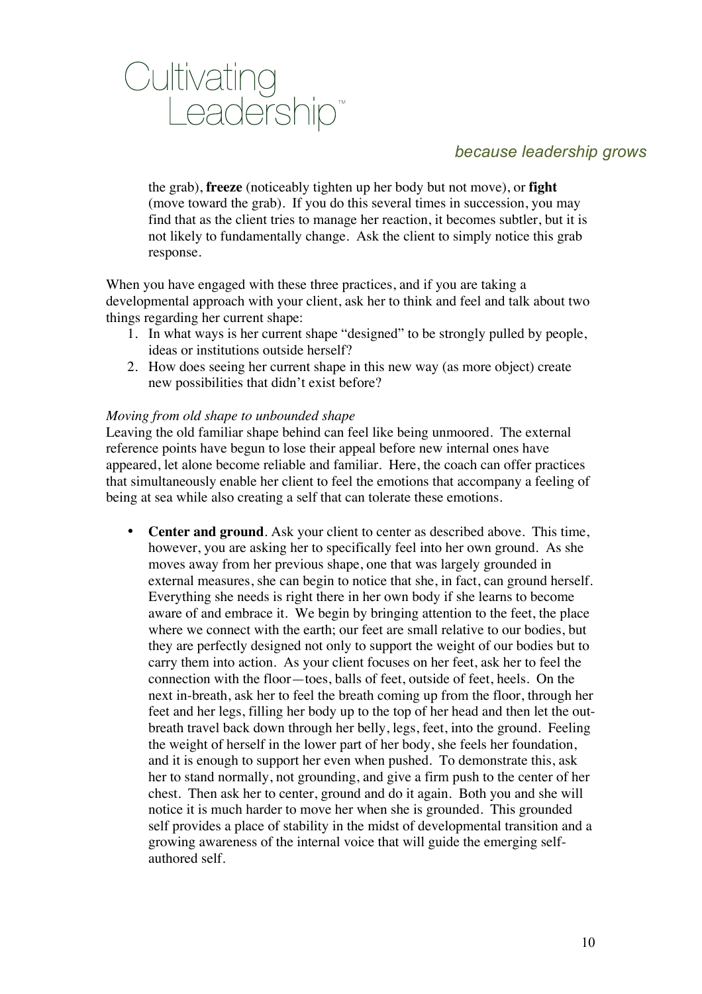

the grab), **freeze** (noticeably tighten up her body but not move), or **fight**  (move toward the grab). If you do this several times in succession, you may find that as the client tries to manage her reaction, it becomes subtler, but it is not likely to fundamentally change. Ask the client to simply notice this grab response.

When you have engaged with these three practices, and if you are taking a developmental approach with your client, ask her to think and feel and talk about two things regarding her current shape:

- 1. In what ways is her current shape "designed" to be strongly pulled by people, ideas or institutions outside herself?
- 2. How does seeing her current shape in this new way (as more object) create new possibilities that didn't exist before?

### *Moving from old shape to unbounded shape*

Leaving the old familiar shape behind can feel like being unmoored. The external reference points have begun to lose their appeal before new internal ones have appeared, let alone become reliable and familiar. Here, the coach can offer practices that simultaneously enable her client to feel the emotions that accompany a feeling of being at sea while also creating a self that can tolerate these emotions.

• **Center and ground**. Ask your client to center as described above. This time, however, you are asking her to specifically feel into her own ground. As she moves away from her previous shape, one that was largely grounded in external measures, she can begin to notice that she, in fact, can ground herself. Everything she needs is right there in her own body if she learns to become aware of and embrace it. We begin by bringing attention to the feet, the place where we connect with the earth; our feet are small relative to our bodies, but they are perfectly designed not only to support the weight of our bodies but to carry them into action. As your client focuses on her feet, ask her to feel the connection with the floor—toes, balls of feet, outside of feet, heels. On the next in-breath, ask her to feel the breath coming up from the floor, through her feet and her legs, filling her body up to the top of her head and then let the outbreath travel back down through her belly, legs, feet, into the ground. Feeling the weight of herself in the lower part of her body, she feels her foundation, and it is enough to support her even when pushed. To demonstrate this, ask her to stand normally, not grounding, and give a firm push to the center of her chest. Then ask her to center, ground and do it again. Both you and she will notice it is much harder to move her when she is grounded. This grounded self provides a place of stability in the midst of developmental transition and a growing awareness of the internal voice that will guide the emerging selfauthored self.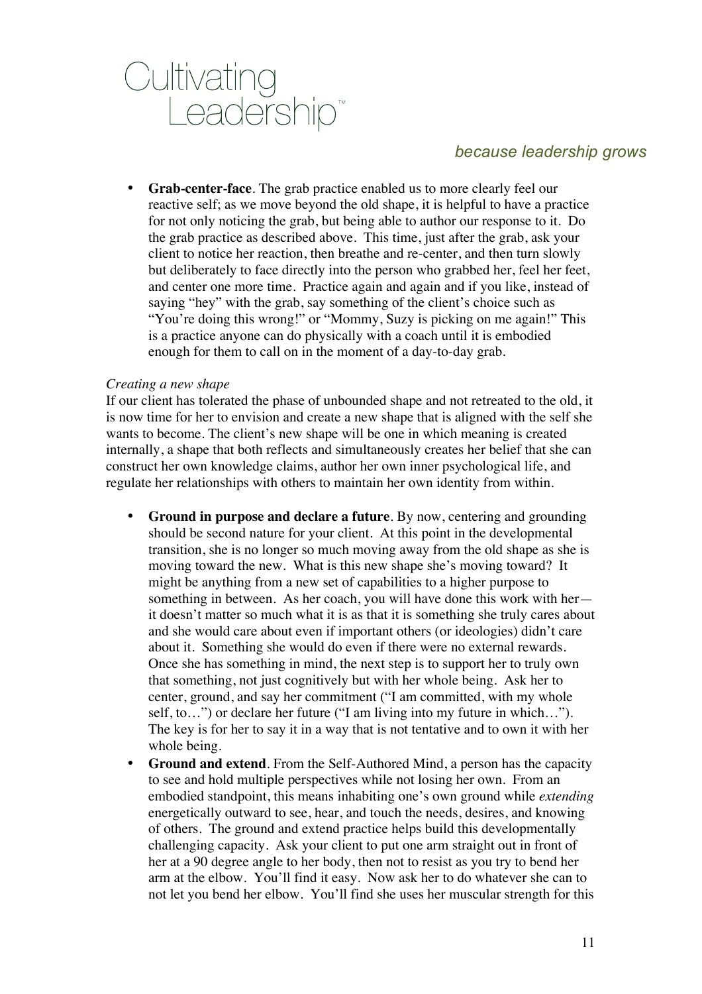

• **Grab-center-face**. The grab practice enabled us to more clearly feel our reactive self; as we move beyond the old shape, it is helpful to have a practice for not only noticing the grab, but being able to author our response to it. Do the grab practice as described above. This time, just after the grab, ask your client to notice her reaction, then breathe and re-center, and then turn slowly but deliberately to face directly into the person who grabbed her, feel her feet, and center one more time. Practice again and again and if you like, instead of saying "hey" with the grab, say something of the client's choice such as "You're doing this wrong!" or "Mommy, Suzy is picking on me again!" This is a practice anyone can do physically with a coach until it is embodied enough for them to call on in the moment of a day-to-day grab.

#### *Creating a new shape*

If our client has tolerated the phase of unbounded shape and not retreated to the old, it is now time for her to envision and create a new shape that is aligned with the self she wants to become. The client's new shape will be one in which meaning is created internally, a shape that both reflects and simultaneously creates her belief that she can construct her own knowledge claims, author her own inner psychological life, and regulate her relationships with others to maintain her own identity from within.

- **Ground in purpose and declare a future**. By now, centering and grounding should be second nature for your client. At this point in the developmental transition, she is no longer so much moving away from the old shape as she is moving toward the new. What is this new shape she's moving toward? It might be anything from a new set of capabilities to a higher purpose to something in between. As her coach, you will have done this work with her it doesn't matter so much what it is as that it is something she truly cares about and she would care about even if important others (or ideologies) didn't care about it. Something she would do even if there were no external rewards. Once she has something in mind, the next step is to support her to truly own that something, not just cognitively but with her whole being. Ask her to center, ground, and say her commitment ("I am committed, with my whole self, to…") or declare her future ("I am living into my future in which…"). The key is for her to say it in a way that is not tentative and to own it with her whole being.
- **Ground and extend**. From the Self-Authored Mind, a person has the capacity to see and hold multiple perspectives while not losing her own. From an embodied standpoint, this means inhabiting one's own ground while *extending*  energetically outward to see, hear, and touch the needs, desires, and knowing of others. The ground and extend practice helps build this developmentally challenging capacity. Ask your client to put one arm straight out in front of her at a 90 degree angle to her body, then not to resist as you try to bend her arm at the elbow. You'll find it easy. Now ask her to do whatever she can to not let you bend her elbow. You'll find she uses her muscular strength for this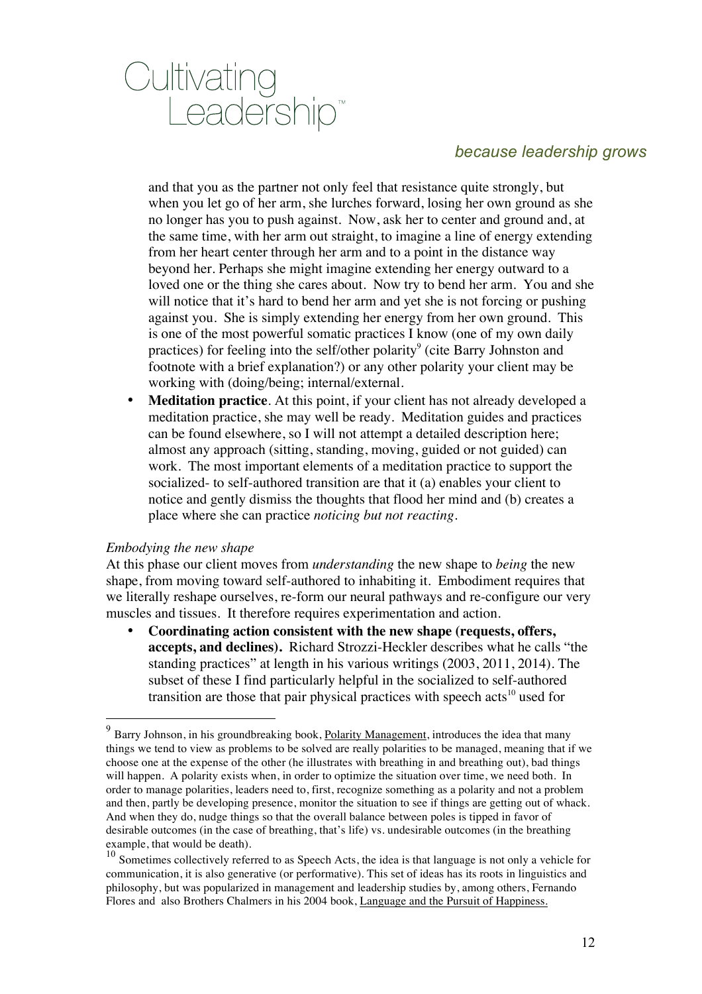

and that you as the partner not only feel that resistance quite strongly, but when you let go of her arm, she lurches forward, losing her own ground as she no longer has you to push against. Now, ask her to center and ground and, at the same time, with her arm out straight, to imagine a line of energy extending from her heart center through her arm and to a point in the distance way beyond her. Perhaps she might imagine extending her energy outward to a loved one or the thing she cares about. Now try to bend her arm. You and she will notice that it's hard to bend her arm and yet she is not forcing or pushing against you. She is simply extending her energy from her own ground. This is one of the most powerful somatic practices I know (one of my own daily practices) for feeling into the self/other polarity<sup>9</sup> (cite Barry Johnston and footnote with a brief explanation?) or any other polarity your client may be working with (doing/being; internal/external.

• **Meditation practice**. At this point, if your client has not already developed a meditation practice, she may well be ready. Meditation guides and practices can be found elsewhere, so I will not attempt a detailed description here; almost any approach (sitting, standing, moving, guided or not guided) can work. The most important elements of a meditation practice to support the socialized- to self-authored transition are that it (a) enables your client to notice and gently dismiss the thoughts that flood her mind and (b) creates a place where she can practice *noticing but not reacting.* 

#### *Embodying the new shape*

At this phase our client moves from *understanding* the new shape to *being* the new shape, from moving toward self-authored to inhabiting it. Embodiment requires that we literally reshape ourselves, re-form our neural pathways and re-configure our very muscles and tissues. It therefore requires experimentation and action.

• **Coordinating action consistent with the new shape (requests, offers, accepts, and declines).** Richard Strozzi-Heckler describes what he calls "the standing practices" at length in his various writings (2003, 2011, 2014). The subset of these I find particularly helpful in the socialized to self-authored transition are those that pair physical practices with speech acts<sup>10</sup> used for

 $9$  Barry Johnson, in his groundbreaking book, Polarity Management, introduces the idea that many things we tend to view as problems to be solved are really polarities to be managed, meaning that if we choose one at the expense of the other (he illustrates with breathing in and breathing out), bad things will happen. A polarity exists when, in order to optimize the situation over time, we need both. In order to manage polarities, leaders need to, first, recognize something as a polarity and not a problem and then, partly be developing presence, monitor the situation to see if things are getting out of whack. And when they do, nudge things so that the overall balance between poles is tipped in favor of desirable outcomes (in the case of breathing, that's life) vs. undesirable outcomes (in the breathing example, that would be death).

 $10$  Sometimes collectively referred to as Speech Acts, the idea is that language is not only a vehicle for communication, it is also generative (or performative). This set of ideas has its roots in linguistics and philosophy, but was popularized in management and leadership studies by, among others, Fernando Flores and also Brothers Chalmers in his 2004 book, Language and the Pursuit of Happiness.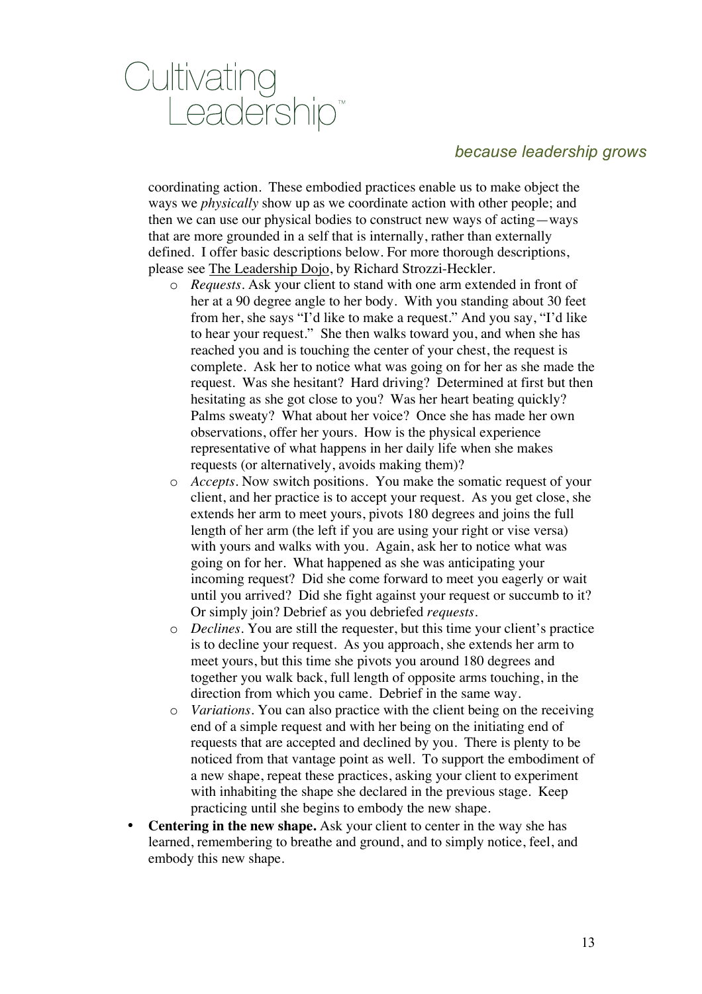

coordinating action. These embodied practices enable us to make object the ways we *physically* show up as we coordinate action with other people; and then we can use our physical bodies to construct new ways of acting—ways that are more grounded in a self that is internally, rather than externally defined. I offer basic descriptions below. For more thorough descriptions, please see The Leadership Dojo, by Richard Strozzi-Heckler.

- o *Requests.* Ask your client to stand with one arm extended in front of her at a 90 degree angle to her body. With you standing about 30 feet from her, she says "I'd like to make a request." And you say, "I'd like to hear your request." She then walks toward you, and when she has reached you and is touching the center of your chest, the request is complete. Ask her to notice what was going on for her as she made the request. Was she hesitant? Hard driving? Determined at first but then hesitating as she got close to you? Was her heart beating quickly? Palms sweaty? What about her voice? Once she has made her own observations, offer her yours. How is the physical experience representative of what happens in her daily life when she makes requests (or alternatively, avoids making them)?
- o *Accepts.* Now switch positions. You make the somatic request of your client, and her practice is to accept your request. As you get close, she extends her arm to meet yours, pivots 180 degrees and joins the full length of her arm (the left if you are using your right or vise versa) with yours and walks with you. Again, ask her to notice what was going on for her. What happened as she was anticipating your incoming request? Did she come forward to meet you eagerly or wait until you arrived? Did she fight against your request or succumb to it? Or simply join? Debrief as you debriefed *requests.*
- o *Declines.* You are still the requester, but this time your client's practice is to decline your request. As you approach, she extends her arm to meet yours, but this time she pivots you around 180 degrees and together you walk back, full length of opposite arms touching, in the direction from which you came. Debrief in the same way.
- o *Variations.* You can also practice with the client being on the receiving end of a simple request and with her being on the initiating end of requests that are accepted and declined by you. There is plenty to be noticed from that vantage point as well. To support the embodiment of a new shape, repeat these practices, asking your client to experiment with inhabiting the shape she declared in the previous stage. Keep practicing until she begins to embody the new shape.
- **Centering in the new shape.** Ask your client to center in the way she has learned, remembering to breathe and ground, and to simply notice, feel, and embody this new shape.